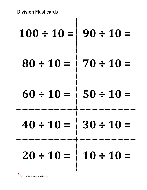ľ

| $100 \div 10 = 90 \div 10 = 1$ |                |
|--------------------------------|----------------|
| $80 \div 10 = 70 \div 10 =$    |                |
| $60 \div 10 =$                 | $50 \div 10 =$ |
| $40 \div 10 =$                 | $30 \div 10 =$ |
| $20 \div 10 = 10 \div 10 =$    |                |

**T**PS Trumbull Public Schools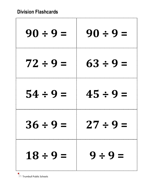ŗ.

| $90 \div 9 =$ | $90 \div 9 =$ |
|---------------|---------------|
| $72 \div 9 =$ | $63 \div 9 =$ |
| $54 \div 9 =$ | $45 \div 9 =$ |
| 36 ÷ 9 =      | Z7 ÷ 9 =      |
| $18 \div 9 =$ | $9 \div 9 =$  |

**TRIMIT**RIM Trumbull Public Schools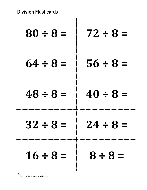r.

| $80 \div 8 =$ | $72 \div 8 =$ |
|---------------|---------------|
| $64 \div 8 =$ | $56 \div 8 =$ |
| $48 \div 8 =$ | $40 \div 8 =$ |
| $32 \div 8$   | $24 \div 8$   |
| $16 \div 8 =$ | $8 \div 8 =$  |

**TRIMIT**RIM Trumbull Public Schools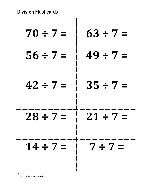ŗ.

| $70 \div 7 =$ | $63 \div 7 =$ |
|---------------|---------------|
| $56 \div 7 =$ | $49 \div 7 =$ |
| $42 \div 7 =$ | $35 \div 7 =$ |
| $28 \div 7 =$ | $21 \div 7 =$ |
| $14 \div 7 =$ | $7 \div 7 =$  |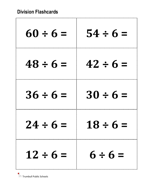r

| $60 \div 6 =$ | $54 \div 6 =$ |
|---------------|---------------|
| $48 \div 6 =$ | $42 \div 6 =$ |
| $36 \div 6 =$ | $30 \div 6 =$ |
| $24 \div 6 =$ | $18 \div 6 =$ |
| $12 \div 6 =$ | $6 \div 6 =$  |

**TRIS** Trumbull Public Schools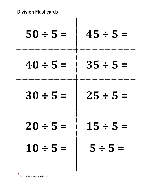r

| $50 \div 5 =$ | $45 \div 5 =$ |
|---------------|---------------|
| $40 \div 5 =$ | $35 \div 5 =$ |
| $30 \div 5 =$ | $25 \div 5 =$ |
| $20 \div 5 =$ | $15 \div 5 =$ |
| $10 \div 5 =$ | $5 \div 5 =$  |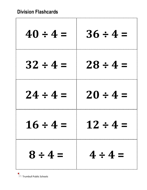ľ

| $40 \div 4 =$ | $36 \div 4 =$ |
|---------------|---------------|
| $32 \div 4 =$ | $28 \div 4 =$ |
| $24 \div 4 =$ | $20 \div 4 =$ |
| $16 \div 4 =$ | $12 \div 4 =$ |
| $8 \div 4 =$  | $4 \div 4 =$  |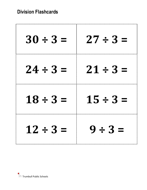| $30 \div 3 =$ | $27 \div 3 =$ |
|---------------|---------------|
| $24 \div 3 =$ | $21 \div 3 =$ |
| $18 \div 3 =$ | $15 \div 3 =$ |
| $12 \div 3 =$ | $9 \div 3 =$  |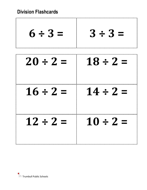------------------------

-------------------------------------

| $6 \div 3 =$  | $3 \div 3 =$  |
|---------------|---------------|
| $20 \div 2 =$ | $18 \div 2 =$ |
| $16 \div 2 =$ | $14 \div 2 =$ |
| $12 \div 2 =$ | $10 \div 2 =$ |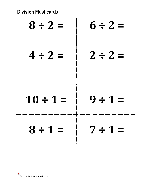## **Division Flashcards**